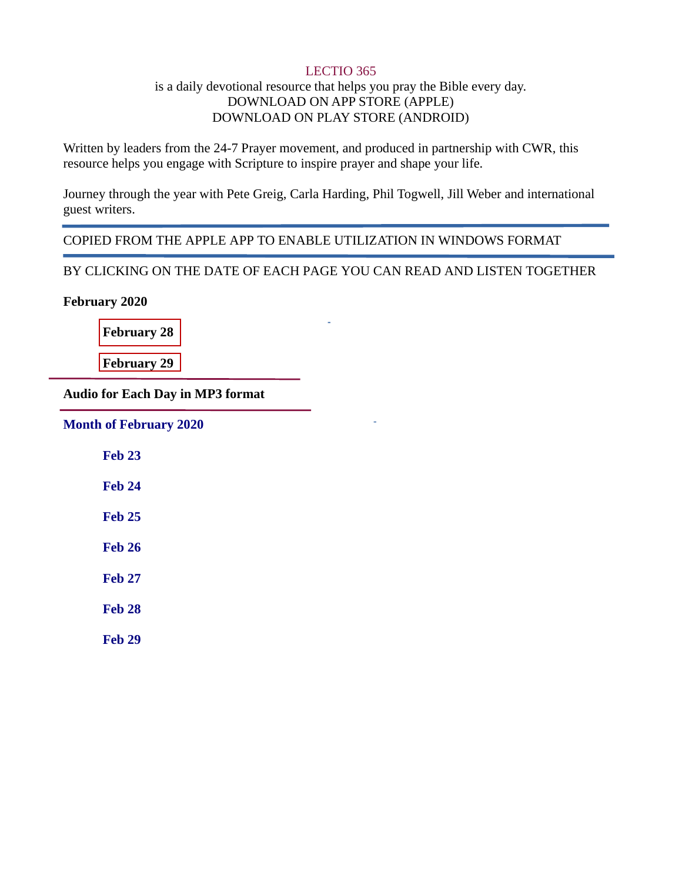### LECTIO 365

## is a daily devotional resource that helps you pray the Bible every day. DOWNLOAD ON APP STORE (APPLE) DOWNLOAD ON PLAY STORE (ANDROID)

Written by leaders from the 24-7 Prayer movement, and produced in partnership with CWR, this resource helps you engage with Scripture to inspire prayer and shape your life.

Journey through the year with Pete Greig, Carla Harding, Phil Togwell, Jill Weber and international guest writers.

COPIED FROM THE APPLE APP TO ENABLE UTILIZATION IN WINDOWS FORMAT

BY CLICKING ON THE DATE OF EACH PAGE YOU CAN READ AND LISTEN TOGETHER

February 2020

[February](#page-1-0) 28

[February](#page-3-0) 29

Audio for Each Day **in MP3 format**

[Month of February 2020](https://drive.google.com/open?id=17OspGTwjB8Iv2-h1lRmUlD1C3Dr4iwv-)

[Feb 23](https://drive.google.com/open?id=1pVzKHdFH6cjnd1kBfhgGaJkbKfbdDy90)

[Feb 24](https://drive.google.com/open?id=1uIVs8oiw7ZZuzFuIMlI7ceBXaVIWxiJ8)

[Feb 25](https://drive.google.com/open?id=1zLuWEfGTkx7B4a1HSyDCon3WU1SRTsG-)

[Feb 26](https://drive.google.com/open?id=1jEPahkG--6Rv3LHeOwEMkQ_SU9koxZnn)

[Feb 27](https://drive.google.com/open?id=19qpQBqKhcLwvRjqf-t0QbzUvC7v8xgNr)

[Feb 28](https://drive.google.com/open?id=18TciZ5tE073mF6Qh_WJizis1ews3Pnej)

[Feb 29](https://drive.google.com/open?id=1IX3h543Rx8bUb-qpgBOOCPV6T5mtCtP8)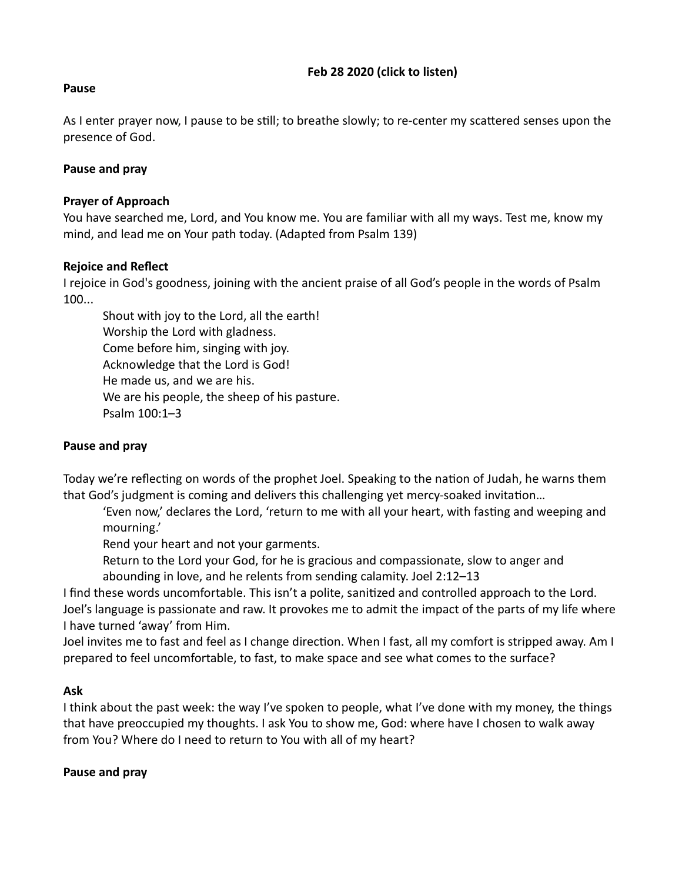## Feb 28 2020 **(click to [listen\)](https://drive.google.com/open?id=18TciZ5tE073mF6Qh_WJizis1ews3Pnej)**

### <span id="page-1-0"></span>Pause

As I enter prayer now, I pause to be still; to breathe slowly; to re-center my scattered senses upon the presence of God.

## Pause and pray

### Prayer of Approach

You have searched me, Lord, and You know me. You are familiar with all my ways. Test me, know my mind, and lead me on Your path today. (Adapted from Psalm 139)

### Rejoice and Reflect

I rejoice in God's goodness, joining with the ancient praise of all God's people in the words of Psalm 100...

Shout with joy to the Lord, all the earth! Worship the Lord with gladness. Come before him, singing with joy. Acknowledge that the Lord is God! He made us, and we are his. We are his people, the sheep of his pasture. Psalm 100:1–3

## Pause and pray

Today we're reflecting on words of the prophet Joel. Speaking to the nation of Judah, he warns them that God's judgment is coming and delivers this challenging yet mercy-soaked invitation...

'Even now,' declares the Lord, 'return to me with all your heart, with fasting and weeping and mourning.'

Rend your heart and not your garments.

Return to the Lord your God, for he is gracious and compassionate, slow to anger and abounding in love, and he relents from sending calamity. Joel 2:12–13

I find these words uncomfortable. This isn't a polite, sanitized and controlled approach to the Lord. Joel's language is passionate and raw. It provokes me to admit the impact of the parts of my life where I have turned 'away' from Him.

Joel invites me to fast and feel as I change direction. When I fast, all my comfort is stripped away. Am I prepared to feel uncomfortable, to fast, to make space and see what comes to the surface?

### Ask

I think about the past week: the way I've spoken to people, what I've done with my money, the things that have preoccupied my thoughts. I ask You to show me, God: where have I chosen to walk away from You? Where do I need to return to You with all of my heart?

### Pause and pray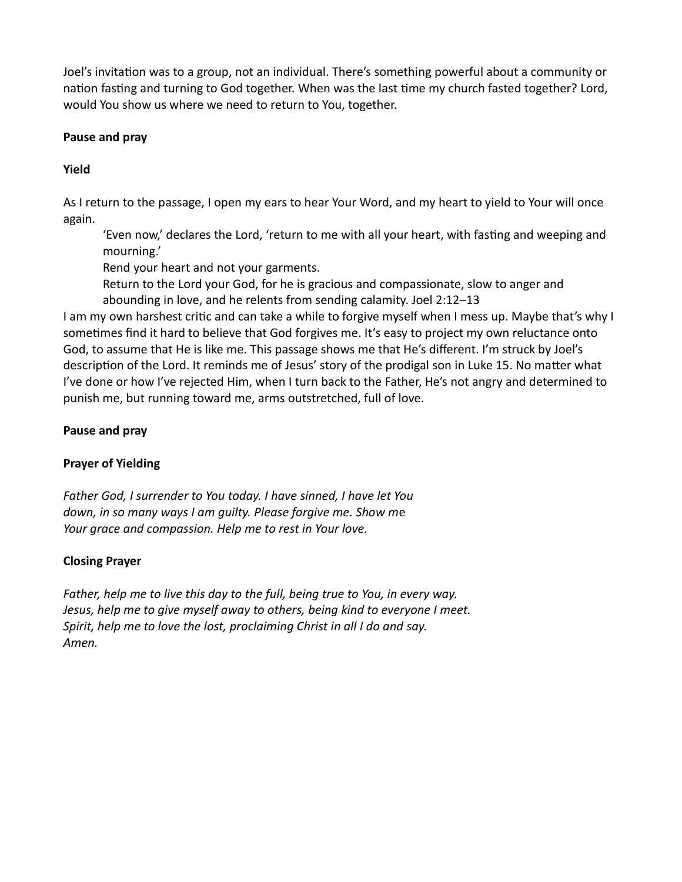Joel's invitation was to a group, not an individual. There's something powerful about a community or nation fasting and turning to God together. When was the last time my church fasted together? Lord, would You show us where we need to return to You, together.

# Pause and pray

# Yield

As I return to the passage, I open my ears to hear Your Word, and my heart to yield to Your will once again.

'Even now,' declares the Lord, 'return to me with all your heart, with fasting and weeping and mourning.'

Rend your heart and not your garments.

Return to the Lord your God, for he is gracious and compassionate, slow to anger and abounding in love, and he relents from sending calamity. Joel 2:12–13

I am my own harshest critic and can take a while to forgive myself when I mess up. Maybe that's why I sometimes find it hard to believe that God forgives me. It's easy to project my own reluctance onto God, to assume that He is like me. This passage shows me that He's different. I'm struck by Joel's description of the Lord. It reminds me of Jesus' story of the prodigal son in Luke 15. No matter what I've done or how I've rejected Him, when I turn back to the Father, He's not angry and determined to punish me, but running toward me, arms outstretched, full of love.

# Pause and pray

# Prayer of Yielding

Father God, I surrender to You today. I have sinned, I have let You down, in so many ways I am guilty. Please forgive me. Show me Your grace and compassion. Help me to rest in Your love.

# Closing Prayer

Father, help me to live this day to the full, being true to You, in every way. Jesus, help me to give myself away to others, being kind to everyone I meet. Spirit, help me to love the lost, proclaiming Christ in all I do and say. Amen.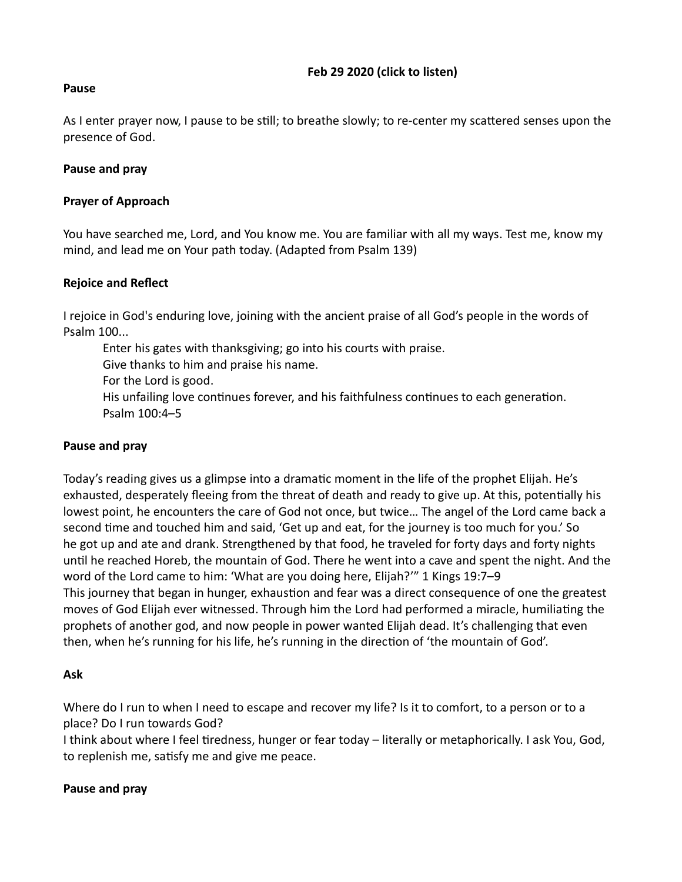### Feb 29 2020 **(click to [listen\)](https://drive.google.com/open?id=1IX3h543Rx8bUb-qpgBOOCPV6T5mtCtP8)**

### <span id="page-3-0"></span>Pause

As I enter prayer now, I pause to be still; to breathe slowly; to re-center my scattered senses upon the presence of God.

## Pause and pray

### Prayer of Approach

You have searched me, Lord, and You know me. You are familiar with all my ways. Test me, know my mind, and lead me on Your path today. (Adapted from Psalm 139)

### Rejoice and Reflect

I rejoice in God's enduring love, joining with the ancient praise of all God's people in the words of Psalm 100...

Enter his gates with thanksgiving; go into his courts with praise. Give thanks to him and praise his name. For the Lord is good. His unfailing love continues forever, and his faithfulness continues to each generation. Psalm 100:4–5

### Pause and pray

Today's reading gives us a glimpse into a dramatic moment in the life of the prophet Elijah. He's exhausted, desperately fleeing from the threat of death and ready to give up. At this, potentially his lowest point, he encounters the care of God not once, but twice… The angel of the Lord came back a second time and touched him and said, 'Get up and eat, for the journey is too much for you.' So he got up and ate and drank. Strengthened by that food, he traveled for forty days and forty nights until he reached Horeb, the mountain of God. There he went into a cave and spent the night. And the word of the Lord came to him: 'What are you doing here, Elijah?'" 1 Kings 19:7–9 This journey that began in hunger, exhaustion and fear was a direct consequence of one the greatest moves of God Elijah ever witnessed. Through him the Lord had performed a miracle, humiliating the prophets of another god, and now people in power wanted Elijah dead. It's challenging that even then, when he's running for his life, he's running in the direction of 'the mountain of God'.

### Ask

Where do I run to when I need to escape and recover my life? Is it to comfort, to a person or to a place? Do I run towards God?

I think about where I feel tiredness, hunger or fear today – literally or metaphorically. I ask You, God, to replenish me, satisfy me and give me peace.

### Pause and pray